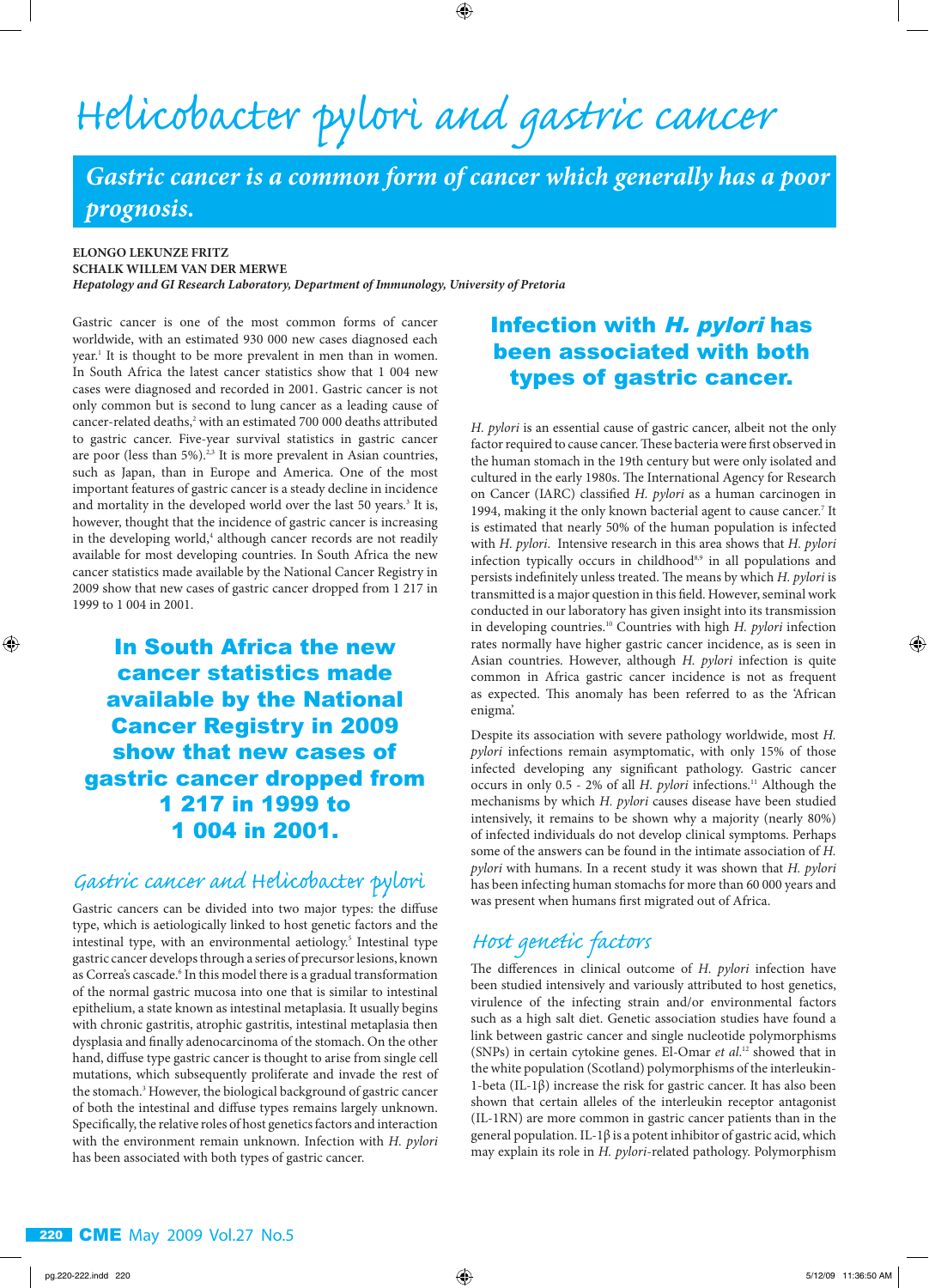# *Helicobacter pylori and gastric cancer*

*Gastric cancer is a common form of cancer which generally has a poor prognosis.*

 $\bigoplus$ 

#### **ELONGO LEKUNZE FRITZ SCHALK WILLEM VAN DER MERWE**

*Hepatology and GI Research Laboratory, Department of Immunology, University of Pretoria*

Gastric cancer is one of the most common forms of cancer worldwide, with an estimated 930 000 new cases diagnosed each year.<sup>1</sup> It is thought to be more prevalent in men than in women. In South Africa the latest cancer statistics show that 1 004 new cases were diagnosed and recorded in 2001. Gastric cancer is not only common but is second to lung cancer as a leading cause of cancer-related deaths,<sup>2</sup> with an estimated 700 000 deaths attributed to gastric cancer. Five-year survival statistics in gastric cancer are poor (less than 5%).<sup>2,3</sup> It is more prevalent in Asian countries, such as Japan, than in Europe and America. One of the most important features of gastric cancer is a steady decline in incidence and mortality in the developed world over the last 50 years.<sup>3</sup> It is, however, thought that the incidence of gastric cancer is increasing in the developing world,<sup>4</sup> although cancer records are not readily available for most developing countries. In South Africa the new cancer statistics made available by the National Cancer Registry in 2009 show that new cases of gastric cancer dropped from 1 217 in 1999 to 1 004 in 2001.

In South Africa the new cancer statistics made available by the National Cancer Registry in 2009 show that new cases of gastric cancer dropped from 1 217 in 1999 to 1 004 in 2001.

### *Gastric cancer and Helicobacter pylori*

Gastric cancers can be divided into two major types: the diffuse type, which is aetiologically linked to host genetic factors and the intestinal type, with an environmental aetiology.<sup>5</sup> Intestinal type gastric cancer develops through a series of precursor lesions, known as Correa's cascade.<sup>6</sup> In this model there is a gradual transformation of the normal gastric mucosa into one that is similar to intestinal epithelium, a state known as intestinal metaplasia. It usually begins with chronic gastritis, atrophic gastritis, intestinal metaplasia then dysplasia and finally adenocarcinoma of the stomach. On the other hand, diffuse type gastric cancer is thought to arise from single cell mutations, which subsequently proliferate and invade the rest of the stomach.<sup>3</sup> However, the biological background of gastric cancer of both the intestinal and diffuse types remains largely unknown. Specifically, the relative roles of host genetics factors and interaction with the environment remain unknown. Infection with *H. pylori* has been associated with both types of gastric cancer.

## Infection with H. pylori has been associated with both types of gastric cancer.

*H. pylori* is an essential cause of gastric cancer, albeit not the only factor required to cause cancer. These bacteria were first observed in the human stomach in the 19th century but were only isolated and cultured in the early 1980s. The International Agency for Research on Cancer (IARC) classified *H. pylori* as a human carcinogen in 1994, making it the only known bacterial agent to cause cancer.<sup>7</sup> It is estimated that nearly 50% of the human population is infected with *H. pylori*. Intensive research in this area shows that *H. pylori*  infection typically occurs in childhood<sup>8,9</sup> in all populations and persists indefinitely unless treated. The means by which *H. pylori* is transmitted is a major question in this field. However, seminal work conducted in our laboratory has given insight into its transmission in developing countries.10 Countries with high *H. pylori* infection rates normally have higher gastric cancer incidence, as is seen in Asian countries. However, although *H. pylori* infection is quite common in Africa gastric cancer incidence is not as frequent as expected. This anomaly has been referred to as the 'African enigma'.

Despite its association with severe pathology worldwide, most *H. pylori* infections remain asymptomatic, with only 15% of those infected developing any significant pathology. Gastric cancer occurs in only 0.5 - 2% of all *H. pylori* infections.<sup>11</sup> Although the mechanisms by which *H. pylori* causes disease have been studied intensively, it remains to be shown why a majority (nearly 80%) of infected individuals do not develop clinical symptoms. Perhaps some of the answers can be found in the intimate association of *H. pylori* with humans. In a recent study it was shown that *H. pylori* has been infecting human stomachs for more than 60 000 years and was present when humans first migrated out of Africa.

## *Host genetic factors*

The differences in clinical outcome of *H. pylori* infection have been studied intensively and variously attributed to host genetics, virulence of the infecting strain and/or environmental factors such as a high salt diet. Genetic association studies have found a link between gastric cancer and single nucleotide polymorphisms (SNPs) in certain cytokine genes. El-Omar *et al*. 12 showed that in the white population (Scotland) polymorphisms of the interleukin-1-beta (IL-1β) increase the risk for gastric cancer. It has also been shown that certain alleles of the interleukin receptor antagonist (IL-1RN) are more common in gastric cancer patients than in the general population. IL-1β is a potent inhibitor of gastric acid, which may explain its role in *H. pylori*-related pathology. Polymorphism

 $\textcircled{\scriptsize{*}}$ 

⊕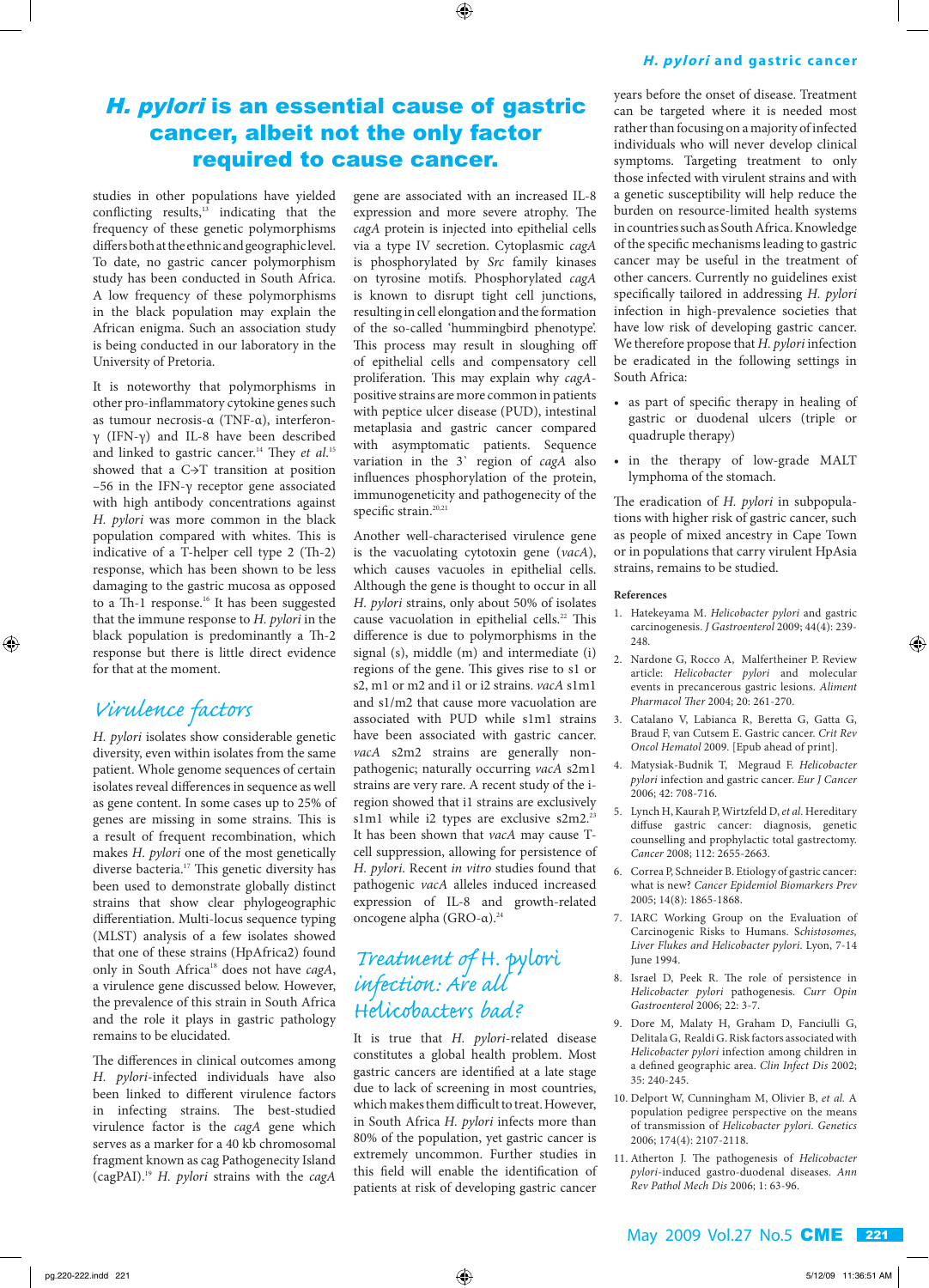#### ⊕

#### **H.** pylori and gastric cancer

## H. pylori is an essential cause of gastric cancer, albeit not the only factor required to cause cancer.

studies in other populations have yielded conflicting results, $13$  indicating that the frequency of these genetic polymorphisms differs both at the ethnic and geographic level. To date, no gastric cancer polymorphism study has been conducted in South Africa. A low frequency of these polymorphisms in the black population may explain the African enigma. Such an association study is being conducted in our laboratory in the University of Pretoria.

It is noteworthy that polymorphisms in other pro-inflammatory cytokine genes such as tumour necrosis-α (TNF-α), interferonγ (IFN-γ) and IL-8 have been described and linked to gastric cancer.<sup>14</sup> They *et al.*<sup>15</sup> showed that a C→T transition at position –56 in the IFN-γ receptor gene associated with high antibody concentrations against *H. pylori* was more common in the black population compared with whites. This is indicative of a T-helper cell type 2 (Th-2) response, which has been shown to be less damaging to the gastric mucosa as opposed to a Th-1 response.<sup>16</sup> It has been suggested that the immune response to *H. pylori* in the black population is predominantly a Th-2 response but there is little direct evidence for that at the moment.

## *Virulence factors*

⊕

*H. pylori* isolates show considerable genetic diversity, even within isolates from the same patient. Whole genome sequences of certain isolates reveal differences in sequence as well as gene content. In some cases up to 25% of genes are missing in some strains. This is a result of frequent recombination, which makes *H. pylori* one of the most genetically diverse bacteria.<sup>17</sup> This genetic diversity has been used to demonstrate globally distinct strains that show clear phylogeographic differentiation. Multi-locus sequence typing (MLST) analysis of a few isolates showed that one of these strains (HpAfrica2) found only in South Africa<sup>18</sup> does not have *cagA*, a virulence gene discussed below. However, the prevalence of this strain in South Africa and the role it plays in gastric pathology remains to be elucidated.

The differences in clinical outcomes among *H. pylori*-infected individuals have also been linked to different virulence factors in infecting strains. The best-studied virulence factor is the *cagA* gene which serves as a marker for a 40 kb chromosomal fragment known as cag Pathogenecity Island (cagPAI).19 *H. pylori* strains with the *cagA*  gene are associated with an increased IL-8 expression and more severe atrophy. The *cagA* protein is injected into epithelial cells via a type IV secretion. Cytoplasmic *cagA* is phosphorylated by *Src* family kinases on tyrosine motifs. Phosphorylated *cagA* is known to disrupt tight cell junctions, resulting in cell elongation and the formation of the so-called 'hummingbird phenotype'. This process may result in sloughing off of epithelial cells and compensatory cell proliferation. This may explain why *cagA*positive strains are more common in patients with peptice ulcer disease (PUD), intestinal metaplasia and gastric cancer compared with asymptomatic patients. Sequence variation in the 3` region of *cagA* also influences phosphorylation of the protein, immunogeneticity and pathogenecity of the specific strain.<sup>20,21</sup>

Another well-characterised virulence gene is the vacuolating cytotoxin gene (*vacA*), which causes vacuoles in epithelial cells. Although the gene is thought to occur in all *H. pylori* strains, only about 50% of isolates cause vacuolation in epithelial cells.<sup>22</sup> This difference is due to polymorphisms in the signal (s), middle (m) and intermediate (i) regions of the gene. This gives rise to s1 or s2, m1 or m2 and i1 or i2 strains. *vacA* s1m1 and s1/m2 that cause more vacuolation are associated with PUD while s1m1 strains have been associated with gastric cancer. *vacA* s2m2 strains are generally nonpathogenic; naturally occurring *vacA* s2m1 strains are very rare. A recent study of the iregion showed that i1 strains are exclusively s1m1 while i2 types are exclusive s2m2.<sup>23</sup> It has been shown that *vacA* may cause Tcell suppression, allowing for persistence of *H. pylori*. Recent *in vitro* studies found that pathogenic *vacA* alleles induced increased expression of IL-8 and growth-related oncogene alpha (GRO-α).24

## *Treatment of H. pylori infec tion: Are all Helicobacters bad?*

It is true that *H. pylori*-related disease constitutes a global health problem. Most gastric cancers are identified at a late stage due to lack of screening in most countries, which makes them difficult to treat. However, in South Africa *H. pylori* infects more than 80% of the population, yet gastric cancer is extremely uncommon. Further studies in this field will enable the identification of patients at risk of developing gastric cancer

years before the onset of disease. Treatment can be targeted where it is needed most rather than focusing on a majority of infected individuals who will never develop clinical symptoms. Targeting treatment to only those infected with virulent strains and with a genetic susceptibility will help reduce the burden on resource-limited health systems in countries such as South Africa. Knowledge of the specific mechanisms leading to gastric cancer may be useful in the treatment of other cancers. Currently no guidelines exist specifically tailored in addressing *H. pylori*  infection in high-prevalence societies that have low risk of developing gastric cancer. We therefore propose that *H. pylori* infection be eradicated in the following settings in South Africa:

- as part of specific therapy in healing of gastric or duodenal ulcers (triple or quadruple therapy)
- in the therapy of low-grade MALT lymphoma of the stomach.

The eradication of *H. pylori* in subpopulations with higher risk of gastric cancer, such as people of mixed ancestry in Cape Town or in populations that carry virulent HpAsia strains, remains to be studied.

#### **References**

1. Hatekeyama M. *Helicobacter pylori* and gastric carcinogenesis. *J Gastroenterol* 2009; 44(4): 239- 248

⊕

- 2. Nardone G, Rocco A, Malfertheiner P. Review article: *Helicobacter pylori* and molecular events in precancerous gastric lesions. *Aliment Pharmacol Ther* 2004; 20: 261-270.
- 3. Catalano V, Labianca R, Beretta G, Gatta G, Braud F, van Cutsem E. Gastric cancer. *Crit Rev Oncol Hematol* 2009. [Epub ahead of print].
- 4. Matysiak-Budnik T, Megraud F. *Helicobacter pylori* infection and gastric cancer. *Eur J Cancer*  2006; 42: 708-716.
- 5. Lynch H, Kaurah P, Wirtzfeld D, *et al.* Hereditary diffuse gastric cancer: diagnosis, genetic counselling and prophylactic total gastrectomy. *Cancer* 2008; 112: 2655-2663.
- 6. Correa P, Schneider B. Etiology of gastric cancer: what is new? *Cancer Epidemiol Biomarkers Prev* 2005; 14(8): 1865-1868.
- 7. IARC Working Group on the Evaluation of Carcinogenic Risks to Humans. S*chistosomes, Liver Flukes and Helicobacter pylori*. Lyon, 7-14 June 1994.
- 8. Israel D, Peek R. The role of persistence in *Helicobacter pylori* pathogenesis. *Curr Opin Gastroenterol* 2006; 22: 3-7.
- 9. Dore M, Malaty H, Graham D, Fanciulli G, Delitala G, Realdi G. Risk factors associated with *Helicobacter pylori* infection among children in a defined geographic area. *Clin Infect Dis* 2002; 35: 240-245.
- 10. Delport W, Cunningham M, Olivier B, *et al.* A population pedigree perspective on the means of transmission of *Helicobacter pylori. Genetics* 2006; 174(4): 2107-2118.
- 11. Atherton J. The pathogenesis of *Helicobacter pylori*-induced gastro-duodenal diseases. *Ann Rev Pathol Mech Dis* 2006; 1: 63-96.

#### May 2009 Vol.27 No.5 CME 221